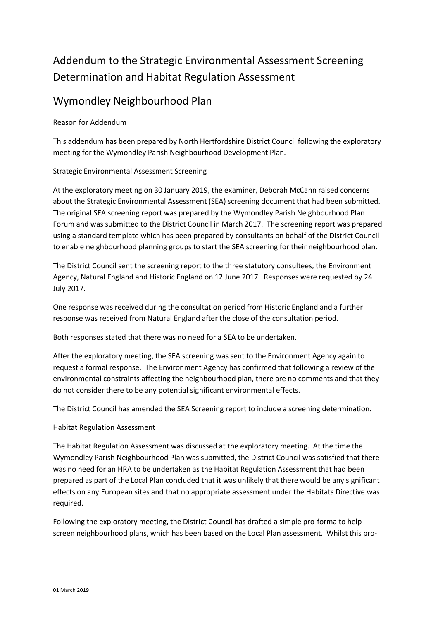## Addendum to the Strategic Environmental Assessment Screening Determination and Habitat Regulation Assessment

## Wymondley Neighbourhood Plan

Reason for Addendum

This addendum has been prepared by North Hertfordshire District Council following the exploratory meeting for the Wymondley Parish Neighbourhood Development Plan.

## Strategic Environmental Assessment Screening

At the exploratory meeting on 30 January 2019, the examiner, Deborah McCann raised concerns about the Strategic Environmental Assessment (SEA) screening document that had been submitted. The original SEA screening report was prepared by the Wymondley Parish Neighbourhood Plan Forum and was submitted to the District Council in March 2017. The screening report was prepared using a standard template which has been prepared by consultants on behalf of the District Council to enable neighbourhood planning groups to start the SEA screening for their neighbourhood plan.

The District Council sent the screening report to the three statutory consultees, the Environment Agency, Natural England and Historic England on 12 June 2017. Responses were requested by 24 July 2017.

One response was received during the consultation period from Historic England and a further response was received from Natural England after the close of the consultation period.

Both responses stated that there was no need for a SEA to be undertaken.

After the exploratory meeting, the SEA screening was sent to the Environment Agency again to request a formal response. The Environment Agency has confirmed that following a review of the environmental constraints affecting the neighbourhood plan, there are no comments and that they do not consider there to be any potential significant environmental effects.

The District Council has amended the SEA Screening report to include a screening determination.

## Habitat Regulation Assessment

The Habitat Regulation Assessment was discussed at the exploratory meeting. At the time the Wymondley Parish Neighbourhood Plan was submitted, the District Council was satisfied that there was no need for an HRA to be undertaken as the Habitat Regulation Assessment that had been prepared as part of the Local Plan concluded that it was unlikely that there would be any significant effects on any European sites and that no appropriate assessment under the Habitats Directive was required.

Following the exploratory meeting, the District Council has drafted a simple pro-forma to help screen neighbourhood plans, which has been based on the Local Plan assessment. Whilst this pro-